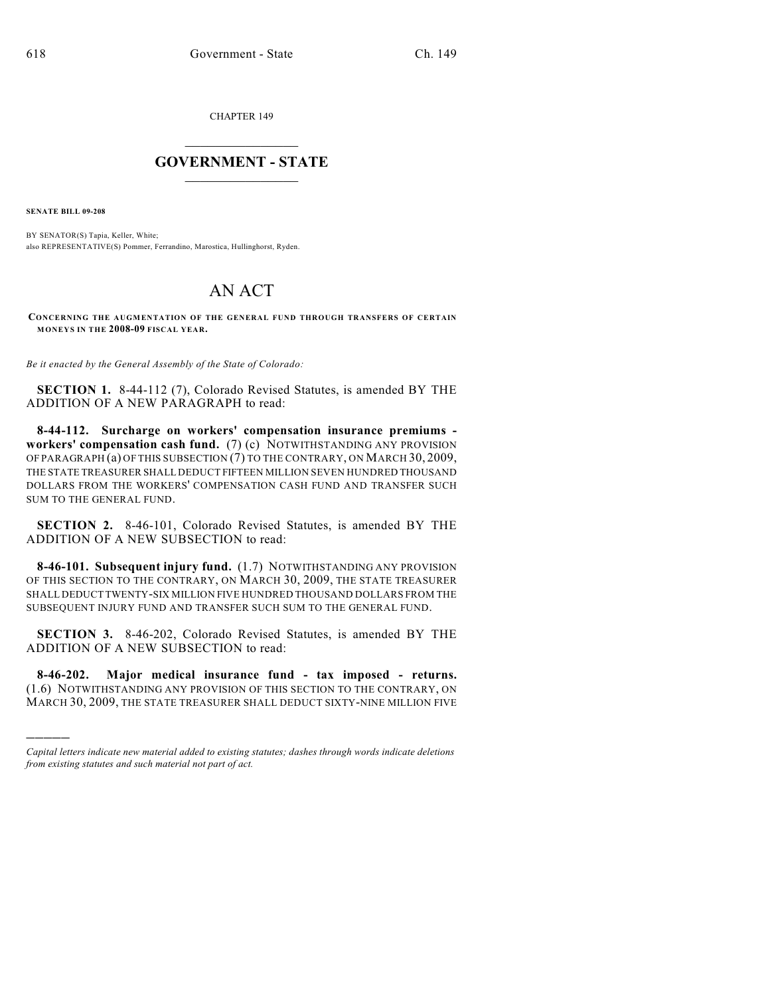CHAPTER 149

## $\mathcal{L}_\text{max}$  . The set of the set of the set of the set of the set of the set of the set of the set of the set of the set of the set of the set of the set of the set of the set of the set of the set of the set of the set **GOVERNMENT - STATE**  $\_$   $\_$   $\_$   $\_$   $\_$   $\_$   $\_$   $\_$   $\_$

**SENATE BILL 09-208**

)))))

BY SENATOR(S) Tapia, Keller, White; also REPRESENTATIVE(S) Pommer, Ferrandino, Marostica, Hullinghorst, Ryden.

## AN ACT

**CONCERNING THE AUGMENTATION OF THE GENERAL FUND THROUGH TRANSFERS OF CERTAIN MONEYS IN THE 2008-09 FISCAL YEAR.**

*Be it enacted by the General Assembly of the State of Colorado:*

**SECTION 1.** 8-44-112 (7), Colorado Revised Statutes, is amended BY THE ADDITION OF A NEW PARAGRAPH to read:

**8-44-112. Surcharge on workers' compensation insurance premiums workers' compensation cash fund.** (7) (c) NOTWITHSTANDING ANY PROVISION OF PARAGRAPH (a) OF THIS SUBSECTION (7) TO THE CONTRARY, ON MARCH 30, 2009, THE STATE TREASURER SHALL DEDUCT FIFTEEN MILLION SEVEN HUNDRED THOUSAND DOLLARS FROM THE WORKERS' COMPENSATION CASH FUND AND TRANSFER SUCH SUM TO THE GENERAL FUND.

**SECTION 2.** 8-46-101, Colorado Revised Statutes, is amended BY THE ADDITION OF A NEW SUBSECTION to read:

**8-46-101. Subsequent injury fund.** (1.7) NOTWITHSTANDING ANY PROVISION OF THIS SECTION TO THE CONTRARY, ON MARCH 30, 2009, THE STATE TREASURER SHALL DEDUCT TWENTY-SIX MILLION FIVE HUNDRED THOUSAND DOLLARS FROM THE SUBSEQUENT INJURY FUND AND TRANSFER SUCH SUM TO THE GENERAL FUND.

**SECTION 3.** 8-46-202, Colorado Revised Statutes, is amended BY THE ADDITION OF A NEW SUBSECTION to read:

**8-46-202. Major medical insurance fund - tax imposed - returns.** (1.6) NOTWITHSTANDING ANY PROVISION OF THIS SECTION TO THE CONTRARY, ON MARCH 30, 2009, THE STATE TREASURER SHALL DEDUCT SIXTY-NINE MILLION FIVE

*Capital letters indicate new material added to existing statutes; dashes through words indicate deletions from existing statutes and such material not part of act.*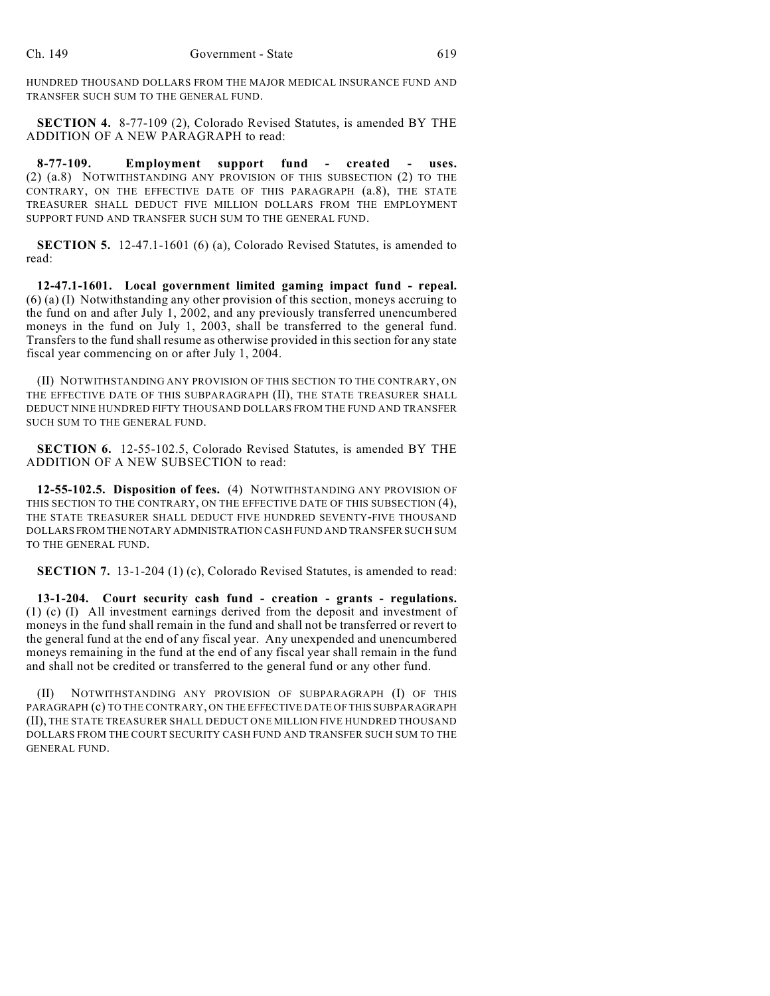HUNDRED THOUSAND DOLLARS FROM THE MAJOR MEDICAL INSURANCE FUND AND TRANSFER SUCH SUM TO THE GENERAL FUND.

**SECTION 4.** 8-77-109 (2), Colorado Revised Statutes, is amended BY THE ADDITION OF A NEW PARAGRAPH to read:

**8-77-109. Employment support fund - created - uses.** (2) (a.8) NOTWITHSTANDING ANY PROVISION OF THIS SUBSECTION (2) TO THE CONTRARY, ON THE EFFECTIVE DATE OF THIS PARAGRAPH (a.8), THE STATE TREASURER SHALL DEDUCT FIVE MILLION DOLLARS FROM THE EMPLOYMENT SUPPORT FUND AND TRANSFER SUCH SUM TO THE GENERAL FUND.

**SECTION 5.** 12-47.1-1601 (6) (a), Colorado Revised Statutes, is amended to read:

**12-47.1-1601. Local government limited gaming impact fund - repeal.** (6) (a) (I) Notwithstanding any other provision of this section, moneys accruing to the fund on and after July 1, 2002, and any previously transferred unencumbered moneys in the fund on July 1, 2003, shall be transferred to the general fund. Transfers to the fund shall resume as otherwise provided in this section for any state fiscal year commencing on or after July 1, 2004.

(II) NOTWITHSTANDING ANY PROVISION OF THIS SECTION TO THE CONTRARY, ON THE EFFECTIVE DATE OF THIS SUBPARAGRAPH (II), THE STATE TREASURER SHALL DEDUCT NINE HUNDRED FIFTY THOUSAND DOLLARS FROM THE FUND AND TRANSFER SUCH SUM TO THE GENERAL FUND.

**SECTION 6.** 12-55-102.5, Colorado Revised Statutes, is amended BY THE ADDITION OF A NEW SUBSECTION to read:

**12-55-102.5. Disposition of fees.** (4) NOTWITHSTANDING ANY PROVISION OF THIS SECTION TO THE CONTRARY, ON THE EFFECTIVE DATE OF THIS SUBSECTION (4), THE STATE TREASURER SHALL DEDUCT FIVE HUNDRED SEVENTY-FIVE THOUSAND DOLLARS FROM THE NOTARY ADMINISTRATION CASH FUND AND TRANSFER SUCH SUM TO THE GENERAL FUND.

**SECTION 7.** 13-1-204 (1) (c), Colorado Revised Statutes, is amended to read:

**13-1-204. Court security cash fund - creation - grants - regulations.** (1) (c) (I) All investment earnings derived from the deposit and investment of moneys in the fund shall remain in the fund and shall not be transferred or revert to the general fund at the end of any fiscal year. Any unexpended and unencumbered moneys remaining in the fund at the end of any fiscal year shall remain in the fund and shall not be credited or transferred to the general fund or any other fund.

(II) NOTWITHSTANDING ANY PROVISION OF SUBPARAGRAPH (I) OF THIS PARAGRAPH (c) TO THE CONTRARY, ON THE EFFECTIVE DATE OF THIS SUBPARAGRAPH (II), THE STATE TREASURER SHALL DEDUCT ONE MILLION FIVE HUNDRED THOUSAND DOLLARS FROM THE COURT SECURITY CASH FUND AND TRANSFER SUCH SUM TO THE GENERAL FUND.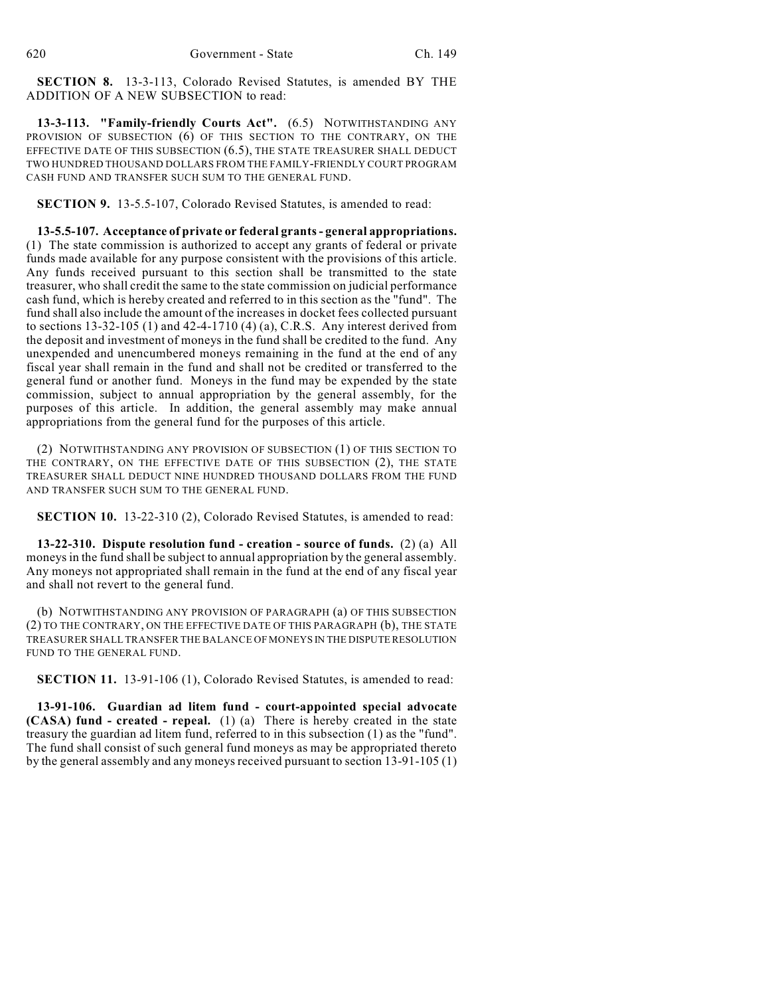**SECTION 8.** 13-3-113, Colorado Revised Statutes, is amended BY THE ADDITION OF A NEW SUBSECTION to read:

**13-3-113. "Family-friendly Courts Act".** (6.5) NOTWITHSTANDING ANY PROVISION OF SUBSECTION (6) OF THIS SECTION TO THE CONTRARY, ON THE EFFECTIVE DATE OF THIS SUBSECTION (6.5), THE STATE TREASURER SHALL DEDUCT TWO HUNDRED THOUSAND DOLLARS FROM THE FAMILY-FRIENDLY COURT PROGRAM CASH FUND AND TRANSFER SUCH SUM TO THE GENERAL FUND.

**SECTION 9.** 13-5.5-107, Colorado Revised Statutes, is amended to read:

**13-5.5-107. Acceptance of private or federal grants - general appropriations.** (1) The state commission is authorized to accept any grants of federal or private funds made available for any purpose consistent with the provisions of this article. Any funds received pursuant to this section shall be transmitted to the state treasurer, who shall credit the same to the state commission on judicial performance cash fund, which is hereby created and referred to in this section as the "fund". The fund shall also include the amount of the increases in docket fees collected pursuant to sections 13-32-105 (1) and 42-4-1710 (4) (a), C.R.S. Any interest derived from the deposit and investment of moneys in the fund shall be credited to the fund. Any unexpended and unencumbered moneys remaining in the fund at the end of any fiscal year shall remain in the fund and shall not be credited or transferred to the general fund or another fund. Moneys in the fund may be expended by the state commission, subject to annual appropriation by the general assembly, for the purposes of this article. In addition, the general assembly may make annual appropriations from the general fund for the purposes of this article.

(2) NOTWITHSTANDING ANY PROVISION OF SUBSECTION (1) OF THIS SECTION TO THE CONTRARY, ON THE EFFECTIVE DATE OF THIS SUBSECTION (2), THE STATE TREASURER SHALL DEDUCT NINE HUNDRED THOUSAND DOLLARS FROM THE FUND AND TRANSFER SUCH SUM TO THE GENERAL FUND.

**SECTION 10.** 13-22-310 (2), Colorado Revised Statutes, is amended to read:

**13-22-310. Dispute resolution fund - creation - source of funds.** (2) (a) All moneys in the fund shall be subject to annual appropriation by the general assembly. Any moneys not appropriated shall remain in the fund at the end of any fiscal year and shall not revert to the general fund.

(b) NOTWITHSTANDING ANY PROVISION OF PARAGRAPH (a) OF THIS SUBSECTION (2) TO THE CONTRARY, ON THE EFFECTIVE DATE OF THIS PARAGRAPH (b), THE STATE TREASURER SHALL TRANSFER THE BALANCE OF MONEYS IN THE DISPUTE RESOLUTION FUND TO THE GENERAL FUND.

**SECTION 11.** 13-91-106 (1), Colorado Revised Statutes, is amended to read:

**13-91-106. Guardian ad litem fund - court-appointed special advocate (CASA) fund - created - repeal.** (1) (a) There is hereby created in the state treasury the guardian ad litem fund, referred to in this subsection (1) as the "fund". The fund shall consist of such general fund moneys as may be appropriated thereto by the general assembly and any moneys received pursuant to section 13-91-105 (1)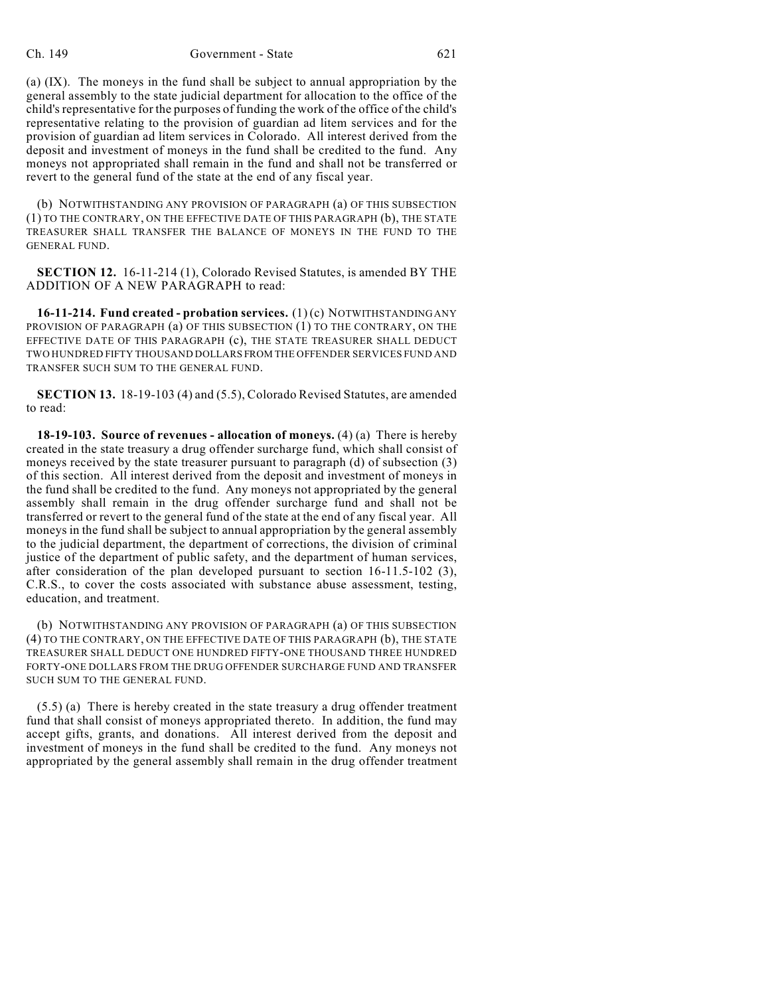(a) (IX). The moneys in the fund shall be subject to annual appropriation by the general assembly to the state judicial department for allocation to the office of the child's representative for the purposes of funding the work of the office of the child's representative relating to the provision of guardian ad litem services and for the provision of guardian ad litem services in Colorado. All interest derived from the deposit and investment of moneys in the fund shall be credited to the fund. Any moneys not appropriated shall remain in the fund and shall not be transferred or revert to the general fund of the state at the end of any fiscal year.

(b) NOTWITHSTANDING ANY PROVISION OF PARAGRAPH (a) OF THIS SUBSECTION (1) TO THE CONTRARY, ON THE EFFECTIVE DATE OF THIS PARAGRAPH (b), THE STATE TREASURER SHALL TRANSFER THE BALANCE OF MONEYS IN THE FUND TO THE GENERAL FUND.

**SECTION 12.** 16-11-214 (1), Colorado Revised Statutes, is amended BY THE ADDITION OF A NEW PARAGRAPH to read:

**16-11-214. Fund created - probation services.** (1) (c) NOTWITHSTANDING ANY PROVISION OF PARAGRAPH (a) OF THIS SUBSECTION (1) TO THE CONTRARY, ON THE EFFECTIVE DATE OF THIS PARAGRAPH (c), THE STATE TREASURER SHALL DEDUCT TWO HUNDRED FIFTY THOUSAND DOLLARS FROM THE OFFENDER SERVICES FUND AND TRANSFER SUCH SUM TO THE GENERAL FUND.

**SECTION 13.** 18-19-103 (4) and (5.5), Colorado Revised Statutes, are amended to read:

**18-19-103. Source of revenues - allocation of moneys.** (4) (a) There is hereby created in the state treasury a drug offender surcharge fund, which shall consist of moneys received by the state treasurer pursuant to paragraph (d) of subsection (3) of this section. All interest derived from the deposit and investment of moneys in the fund shall be credited to the fund. Any moneys not appropriated by the general assembly shall remain in the drug offender surcharge fund and shall not be transferred or revert to the general fund of the state at the end of any fiscal year. All moneys in the fund shall be subject to annual appropriation by the general assembly to the judicial department, the department of corrections, the division of criminal justice of the department of public safety, and the department of human services, after consideration of the plan developed pursuant to section 16-11.5-102 (3), C.R.S., to cover the costs associated with substance abuse assessment, testing, education, and treatment.

(b) NOTWITHSTANDING ANY PROVISION OF PARAGRAPH (a) OF THIS SUBSECTION (4) TO THE CONTRARY, ON THE EFFECTIVE DATE OF THIS PARAGRAPH (b), THE STATE TREASURER SHALL DEDUCT ONE HUNDRED FIFTY-ONE THOUSAND THREE HUNDRED FORTY-ONE DOLLARS FROM THE DRUG OFFENDER SURCHARGE FUND AND TRANSFER SUCH SUM TO THE GENERAL FUND.

(5.5) (a) There is hereby created in the state treasury a drug offender treatment fund that shall consist of moneys appropriated thereto. In addition, the fund may accept gifts, grants, and donations. All interest derived from the deposit and investment of moneys in the fund shall be credited to the fund. Any moneys not appropriated by the general assembly shall remain in the drug offender treatment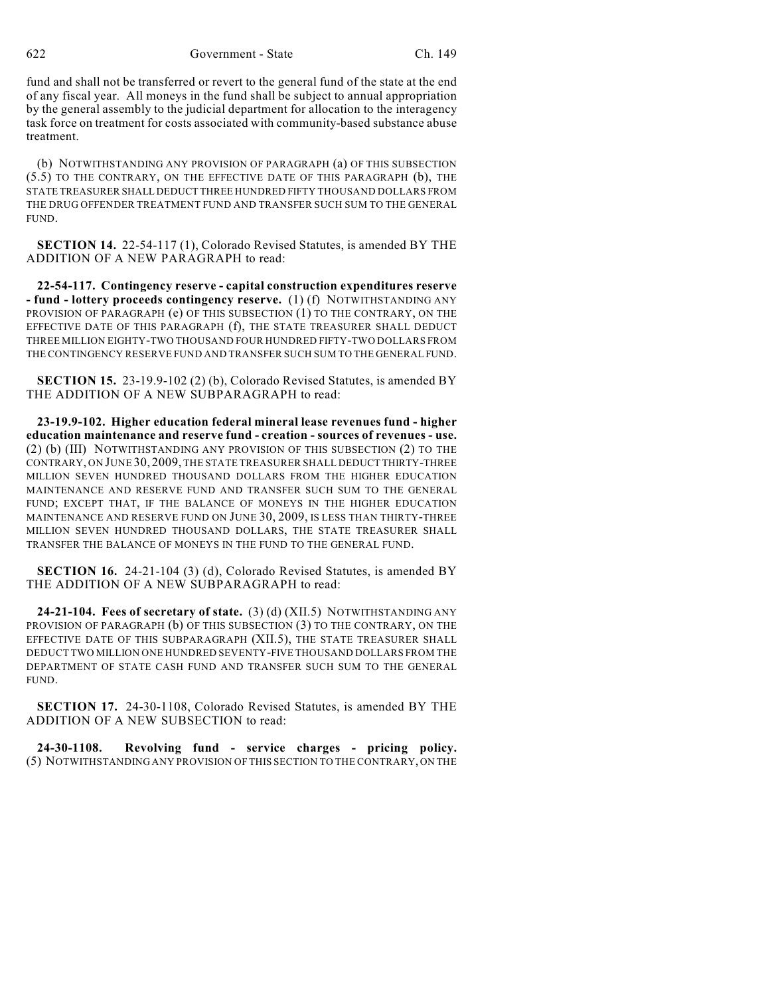622 Government - State Ch. 149

fund and shall not be transferred or revert to the general fund of the state at the end of any fiscal year. All moneys in the fund shall be subject to annual appropriation by the general assembly to the judicial department for allocation to the interagency task force on treatment for costs associated with community-based substance abuse treatment.

(b) NOTWITHSTANDING ANY PROVISION OF PARAGRAPH (a) OF THIS SUBSECTION (5.5) TO THE CONTRARY, ON THE EFFECTIVE DATE OF THIS PARAGRAPH (b), THE STATE TREASURER SHALL DEDUCT THREE HUNDRED FIFTY THOUSAND DOLLARS FROM THE DRUG OFFENDER TREATMENT FUND AND TRANSFER SUCH SUM TO THE GENERAL FUND.

**SECTION 14.** 22-54-117 (1), Colorado Revised Statutes, is amended BY THE ADDITION OF A NEW PARAGRAPH to read:

**22-54-117. Contingency reserve - capital construction expenditures reserve - fund - lottery proceeds contingency reserve.** (1) (f) NOTWITHSTANDING ANY PROVISION OF PARAGRAPH (e) OF THIS SUBSECTION (1) TO THE CONTRARY, ON THE EFFECTIVE DATE OF THIS PARAGRAPH (f), THE STATE TREASURER SHALL DEDUCT THREE MILLION EIGHTY-TWO THOUSAND FOUR HUNDRED FIFTY-TWO DOLLARS FROM THE CONTINGENCY RESERVE FUND AND TRANSFER SUCH SUM TO THE GENERAL FUND.

**SECTION 15.** 23-19.9-102 (2) (b), Colorado Revised Statutes, is amended BY THE ADDITION OF A NEW SUBPARAGRAPH to read:

**23-19.9-102. Higher education federal mineral lease revenues fund - higher education maintenance and reserve fund - creation - sources of revenues - use.** (2) (b) (III) NOTWITHSTANDING ANY PROVISION OF THIS SUBSECTION (2) TO THE CONTRARY, ON JUNE 30, 2009, THE STATE TREASURER SHALL DEDUCT THIRTY-THREE MILLION SEVEN HUNDRED THOUSAND DOLLARS FROM THE HIGHER EDUCATION MAINTENANCE AND RESERVE FUND AND TRANSFER SUCH SUM TO THE GENERAL FUND; EXCEPT THAT, IF THE BALANCE OF MONEYS IN THE HIGHER EDUCATION MAINTENANCE AND RESERVE FUND ON JUNE 30, 2009, IS LESS THAN THIRTY-THREE MILLION SEVEN HUNDRED THOUSAND DOLLARS, THE STATE TREASURER SHALL TRANSFER THE BALANCE OF MONEYS IN THE FUND TO THE GENERAL FUND.

**SECTION 16.** 24-21-104 (3) (d), Colorado Revised Statutes, is amended BY THE ADDITION OF A NEW SUBPARAGRAPH to read:

**24-21-104. Fees of secretary of state.** (3) (d) (XII.5) NOTWITHSTANDING ANY PROVISION OF PARAGRAPH (b) OF THIS SUBSECTION (3) TO THE CONTRARY, ON THE EFFECTIVE DATE OF THIS SUBPARAGRAPH (XII.5), THE STATE TREASURER SHALL DEDUCT TWO MILLION ONE HUNDRED SEVENTY-FIVE THOUSAND DOLLARS FROM THE DEPARTMENT OF STATE CASH FUND AND TRANSFER SUCH SUM TO THE GENERAL FUND.

**SECTION 17.** 24-30-1108, Colorado Revised Statutes, is amended BY THE ADDITION OF A NEW SUBSECTION to read:

**24-30-1108. Revolving fund - service charges - pricing policy.** (5) NOTWITHSTANDING ANY PROVISION OF THIS SECTION TO THE CONTRARY, ON THE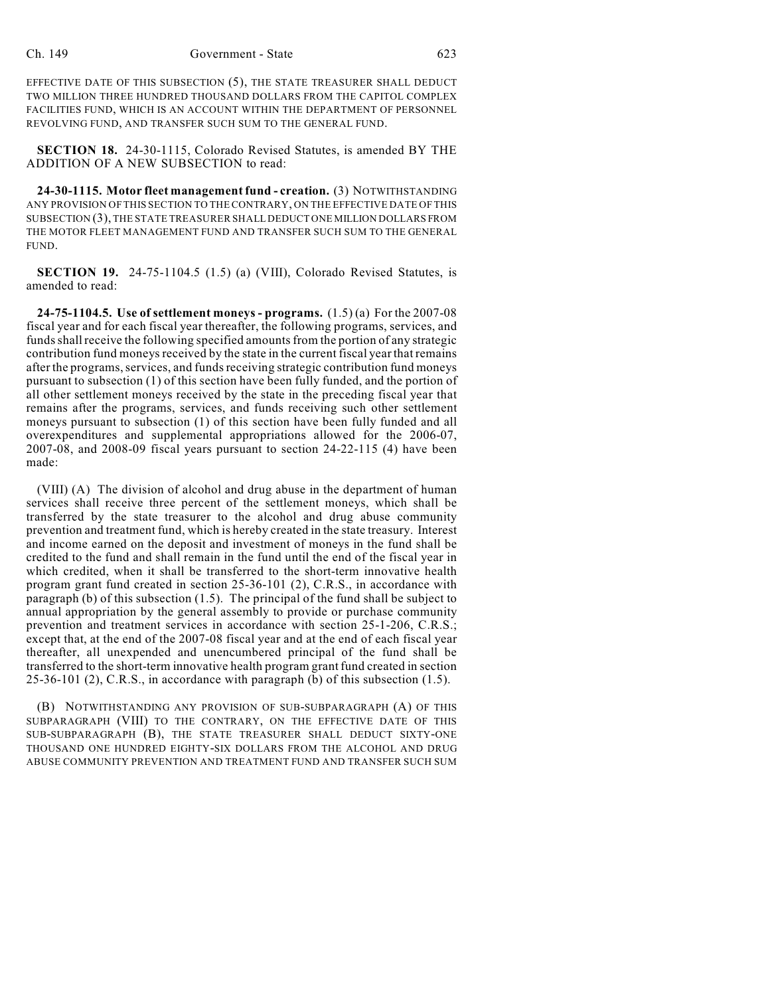EFFECTIVE DATE OF THIS SUBSECTION (5), THE STATE TREASURER SHALL DEDUCT TWO MILLION THREE HUNDRED THOUSAND DOLLARS FROM THE CAPITOL COMPLEX FACILITIES FUND, WHICH IS AN ACCOUNT WITHIN THE DEPARTMENT OF PERSONNEL REVOLVING FUND, AND TRANSFER SUCH SUM TO THE GENERAL FUND.

**SECTION 18.** 24-30-1115, Colorado Revised Statutes, is amended BY THE ADDITION OF A NEW SUBSECTION to read:

**24-30-1115. Motor fleet management fund - creation.** (3) NOTWITHSTANDING ANY PROVISION OF THIS SECTION TO THE CONTRARY, ON THE EFFECTIVE DATE OF THIS SUBSECTION (3), THE STATE TREASURER SHALL DEDUCT ONE MILLION DOLLARS FROM THE MOTOR FLEET MANAGEMENT FUND AND TRANSFER SUCH SUM TO THE GENERAL FUND.

**SECTION 19.** 24-75-1104.5 (1.5) (a) (VIII), Colorado Revised Statutes, is amended to read:

**24-75-1104.5. Use of settlement moneys - programs.** (1.5) (a) For the 2007-08 fiscal year and for each fiscal year thereafter, the following programs, services, and funds shall receive the following specified amounts from the portion of any strategic contribution fund moneys received by the state in the current fiscal yearthat remains after the programs, services, and funds receiving strategic contribution fund moneys pursuant to subsection (1) of this section have been fully funded, and the portion of all other settlement moneys received by the state in the preceding fiscal year that remains after the programs, services, and funds receiving such other settlement moneys pursuant to subsection (1) of this section have been fully funded and all overexpenditures and supplemental appropriations allowed for the 2006-07, 2007-08, and 2008-09 fiscal years pursuant to section 24-22-115 (4) have been made:

(VIII) (A) The division of alcohol and drug abuse in the department of human services shall receive three percent of the settlement moneys, which shall be transferred by the state treasurer to the alcohol and drug abuse community prevention and treatment fund, which is hereby created in the state treasury. Interest and income earned on the deposit and investment of moneys in the fund shall be credited to the fund and shall remain in the fund until the end of the fiscal year in which credited, when it shall be transferred to the short-term innovative health program grant fund created in section 25-36-101 (2), C.R.S., in accordance with paragraph (b) of this subsection (1.5). The principal of the fund shall be subject to annual appropriation by the general assembly to provide or purchase community prevention and treatment services in accordance with section 25-1-206, C.R.S.; except that, at the end of the 2007-08 fiscal year and at the end of each fiscal year thereafter, all unexpended and unencumbered principal of the fund shall be transferred to the short-term innovative health program grantfund created in section 25-36-101 (2), C.R.S., in accordance with paragraph (b) of this subsection (1.5).

(B) NOTWITHSTANDING ANY PROVISION OF SUB-SUBPARAGRAPH (A) OF THIS SUBPARAGRAPH (VIII) TO THE CONTRARY, ON THE EFFECTIVE DATE OF THIS SUB-SUBPARAGRAPH (B), THE STATE TREASURER SHALL DEDUCT SIXTY-ONE THOUSAND ONE HUNDRED EIGHTY-SIX DOLLARS FROM THE ALCOHOL AND DRUG ABUSE COMMUNITY PREVENTION AND TREATMENT FUND AND TRANSFER SUCH SUM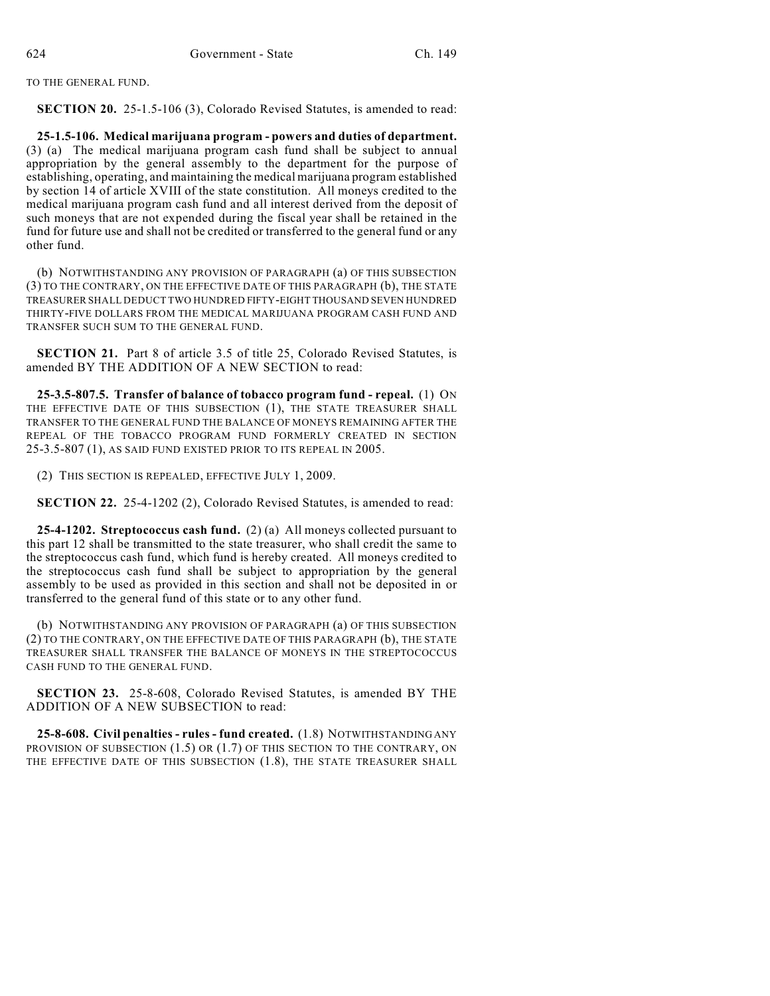TO THE GENERAL FUND.

**SECTION 20.** 25-1.5-106 (3), Colorado Revised Statutes, is amended to read:

**25-1.5-106. Medical marijuana program - powers and duties of department.** (3) (a) The medical marijuana program cash fund shall be subject to annual appropriation by the general assembly to the department for the purpose of establishing, operating, and maintaining the medical marijuana program established by section 14 of article XVIII of the state constitution. All moneys credited to the medical marijuana program cash fund and all interest derived from the deposit of such moneys that are not expended during the fiscal year shall be retained in the fund for future use and shall not be credited or transferred to the general fund or any other fund.

(b) NOTWITHSTANDING ANY PROVISION OF PARAGRAPH (a) OF THIS SUBSECTION (3) TO THE CONTRARY, ON THE EFFECTIVE DATE OF THIS PARAGRAPH (b), THE STATE TREASURER SHALL DEDUCT TWO HUNDRED FIFTY-EIGHT THOUSAND SEVEN HUNDRED THIRTY-FIVE DOLLARS FROM THE MEDICAL MARIJUANA PROGRAM CASH FUND AND TRANSFER SUCH SUM TO THE GENERAL FUND.

**SECTION 21.** Part 8 of article 3.5 of title 25, Colorado Revised Statutes, is amended BY THE ADDITION OF A NEW SECTION to read:

**25-3.5-807.5. Transfer of balance of tobacco program fund - repeal.** (1) ON THE EFFECTIVE DATE OF THIS SUBSECTION (1), THE STATE TREASURER SHALL TRANSFER TO THE GENERAL FUND THE BALANCE OF MONEYS REMAINING AFTER THE REPEAL OF THE TOBACCO PROGRAM FUND FORMERLY CREATED IN SECTION 25-3.5-807 (1), AS SAID FUND EXISTED PRIOR TO ITS REPEAL IN 2005.

(2) THIS SECTION IS REPEALED, EFFECTIVE JULY 1, 2009.

**SECTION 22.** 25-4-1202 (2), Colorado Revised Statutes, is amended to read:

**25-4-1202. Streptococcus cash fund.** (2) (a) All moneys collected pursuant to this part 12 shall be transmitted to the state treasurer, who shall credit the same to the streptococcus cash fund, which fund is hereby created. All moneys credited to the streptococcus cash fund shall be subject to appropriation by the general assembly to be used as provided in this section and shall not be deposited in or transferred to the general fund of this state or to any other fund.

(b) NOTWITHSTANDING ANY PROVISION OF PARAGRAPH (a) OF THIS SUBSECTION (2) TO THE CONTRARY, ON THE EFFECTIVE DATE OF THIS PARAGRAPH (b), THE STATE TREASURER SHALL TRANSFER THE BALANCE OF MONEYS IN THE STREPTOCOCCUS CASH FUND TO THE GENERAL FUND.

**SECTION 23.** 25-8-608, Colorado Revised Statutes, is amended BY THE ADDITION OF A NEW SUBSECTION to read:

**25-8-608. Civil penalties - rules - fund created.** (1.8) NOTWITHSTANDING ANY PROVISION OF SUBSECTION (1.5) OR (1.7) OF THIS SECTION TO THE CONTRARY, ON THE EFFECTIVE DATE OF THIS SUBSECTION (1.8), THE STATE TREASURER SHALL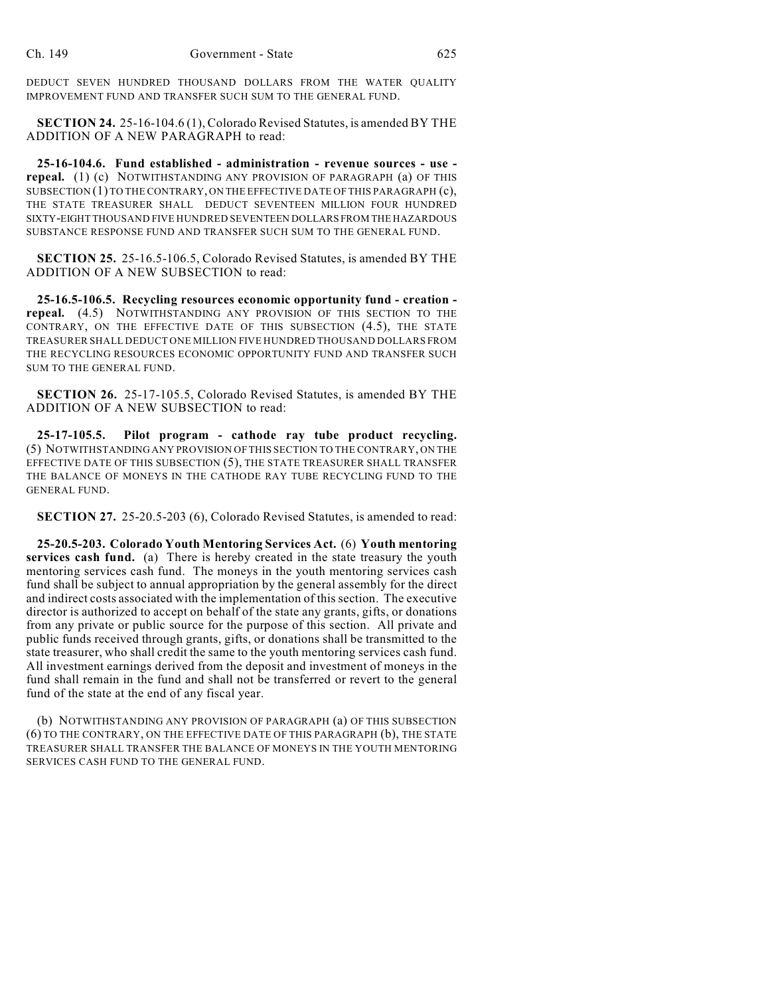DEDUCT SEVEN HUNDRED THOUSAND DOLLARS FROM THE WATER QUALITY IMPROVEMENT FUND AND TRANSFER SUCH SUM TO THE GENERAL FUND.

**SECTION 24.** 25-16-104.6 (1), Colorado Revised Statutes, is amended BY THE ADDITION OF A NEW PARAGRAPH to read:

**25-16-104.6. Fund established - administration - revenue sources - use repeal.** (1) (c) NOTWITHSTANDING ANY PROVISION OF PARAGRAPH (a) OF THIS SUBSECTION (1) TO THE CONTRARY, ON THE EFFECTIVE DATE OF THIS PARAGRAPH (c), THE STATE TREASURER SHALL DEDUCT SEVENTEEN MILLION FOUR HUNDRED SIXTY-EIGHT THOUSAND FIVE HUNDRED SEVENTEEN DOLLARS FROM THE HAZARDOUS SUBSTANCE RESPONSE FUND AND TRANSFER SUCH SUM TO THE GENERAL FUND.

**SECTION 25.** 25-16.5-106.5, Colorado Revised Statutes, is amended BY THE ADDITION OF A NEW SUBSECTION to read:

**25-16.5-106.5. Recycling resources economic opportunity fund - creation repeal.** (4.5) NOTWITHSTANDING ANY PROVISION OF THIS SECTION TO THE CONTRARY, ON THE EFFECTIVE DATE OF THIS SUBSECTION (4.5), THE STATE TREASURER SHALL DEDUCT ONE MILLION FIVE HUNDRED THOUSAND DOLLARS FROM THE RECYCLING RESOURCES ECONOMIC OPPORTUNITY FUND AND TRANSFER SUCH SUM TO THE GENERAL FUND.

**SECTION 26.** 25-17-105.5, Colorado Revised Statutes, is amended BY THE ADDITION OF A NEW SUBSECTION to read:

**25-17-105.5. Pilot program - cathode ray tube product recycling.** (5) NOTWITHSTANDING ANY PROVISION OF THIS SECTION TO THE CONTRARY, ON THE EFFECTIVE DATE OF THIS SUBSECTION (5), THE STATE TREASURER SHALL TRANSFER THE BALANCE OF MONEYS IN THE CATHODE RAY TUBE RECYCLING FUND TO THE GENERAL FUND.

**SECTION 27.** 25-20.5-203 (6), Colorado Revised Statutes, is amended to read:

**25-20.5-203. Colorado Youth Mentoring Services Act.** (6) **Youth mentoring services cash fund.** (a) There is hereby created in the state treasury the youth mentoring services cash fund. The moneys in the youth mentoring services cash fund shall be subject to annual appropriation by the general assembly for the direct and indirect costs associated with the implementation of this section. The executive director is authorized to accept on behalf of the state any grants, gifts, or donations from any private or public source for the purpose of this section. All private and public funds received through grants, gifts, or donations shall be transmitted to the state treasurer, who shall credit the same to the youth mentoring services cash fund. All investment earnings derived from the deposit and investment of moneys in the fund shall remain in the fund and shall not be transferred or revert to the general fund of the state at the end of any fiscal year.

(b) NOTWITHSTANDING ANY PROVISION OF PARAGRAPH (a) OF THIS SUBSECTION (6) TO THE CONTRARY, ON THE EFFECTIVE DATE OF THIS PARAGRAPH (b), THE STATE TREASURER SHALL TRANSFER THE BALANCE OF MONEYS IN THE YOUTH MENTORING SERVICES CASH FUND TO THE GENERAL FUND.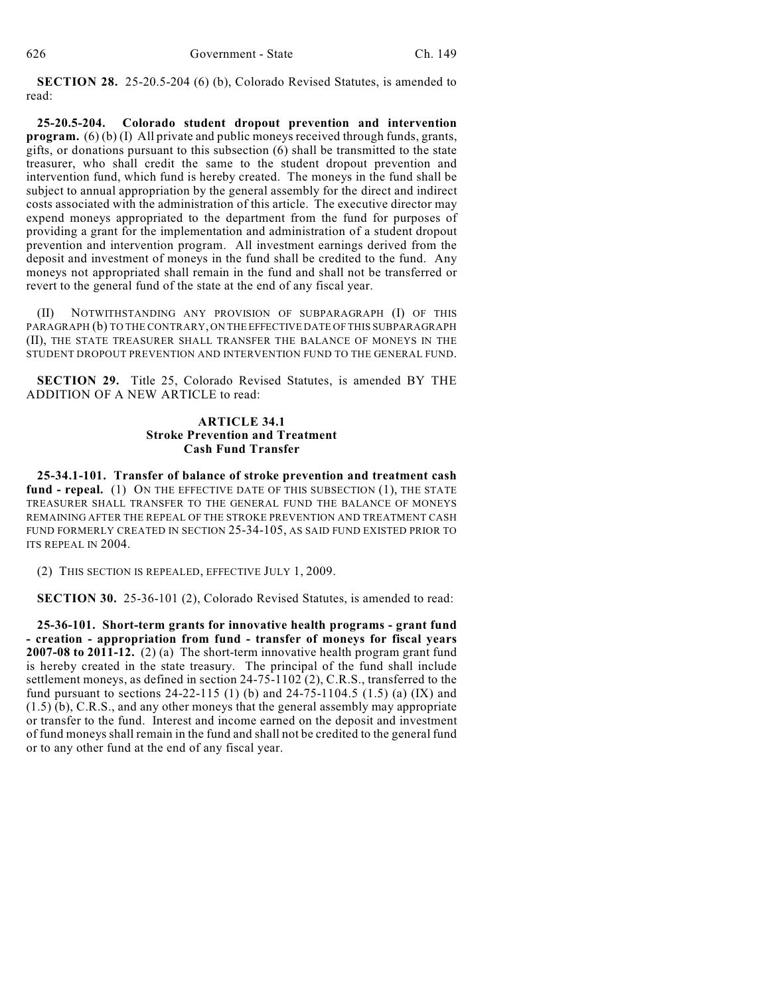**SECTION 28.** 25-20.5-204 (6) (b), Colorado Revised Statutes, is amended to read:

**25-20.5-204. Colorado student dropout prevention and intervention program.** (6) (b) (I) All private and public moneys received through funds, grants, gifts, or donations pursuant to this subsection (6) shall be transmitted to the state treasurer, who shall credit the same to the student dropout prevention and intervention fund, which fund is hereby created. The moneys in the fund shall be subject to annual appropriation by the general assembly for the direct and indirect costs associated with the administration of this article. The executive director may expend moneys appropriated to the department from the fund for purposes of providing a grant for the implementation and administration of a student dropout prevention and intervention program. All investment earnings derived from the deposit and investment of moneys in the fund shall be credited to the fund. Any moneys not appropriated shall remain in the fund and shall not be transferred or revert to the general fund of the state at the end of any fiscal year.

(II) NOTWITHSTANDING ANY PROVISION OF SUBPARAGRAPH (I) OF THIS PARAGRAPH (b) TO THE CONTRARY, ON THE EFFECTIVE DATE OF THIS SUBPARAGRAPH (II), THE STATE TREASURER SHALL TRANSFER THE BALANCE OF MONEYS IN THE STUDENT DROPOUT PREVENTION AND INTERVENTION FUND TO THE GENERAL FUND.

**SECTION 29.** Title 25, Colorado Revised Statutes, is amended BY THE ADDITION OF A NEW ARTICLE to read:

## **ARTICLE 34.1 Stroke Prevention and Treatment Cash Fund Transfer**

**25-34.1-101. Transfer of balance of stroke prevention and treatment cash** fund - repeal. (1) ON THE EFFECTIVE DATE OF THIS SUBSECTION (1), THE STATE TREASURER SHALL TRANSFER TO THE GENERAL FUND THE BALANCE OF MONEYS REMAINING AFTER THE REPEAL OF THE STROKE PREVENTION AND TREATMENT CASH FUND FORMERLY CREATED IN SECTION 25-34-105, AS SAID FUND EXISTED PRIOR TO ITS REPEAL IN 2004.

(2) THIS SECTION IS REPEALED, EFFECTIVE JULY 1, 2009.

**SECTION 30.** 25-36-101 (2), Colorado Revised Statutes, is amended to read:

**25-36-101. Short-term grants for innovative health programs - grant fund - creation - appropriation from fund - transfer of moneys for fiscal years 2007-08 to 2011-12.** (2) (a) The short-term innovative health program grant fund is hereby created in the state treasury. The principal of the fund shall include settlement moneys, as defined in section 24-75-1102 (2), C.R.S., transferred to the fund pursuant to sections  $24-22-115$  (1) (b) and  $24-75-1104.5$  (1.5) (a) (IX) and (1.5) (b), C.R.S., and any other moneys that the general assembly may appropriate or transfer to the fund. Interest and income earned on the deposit and investment of fund moneys shall remain in the fund and shall not be credited to the general fund or to any other fund at the end of any fiscal year.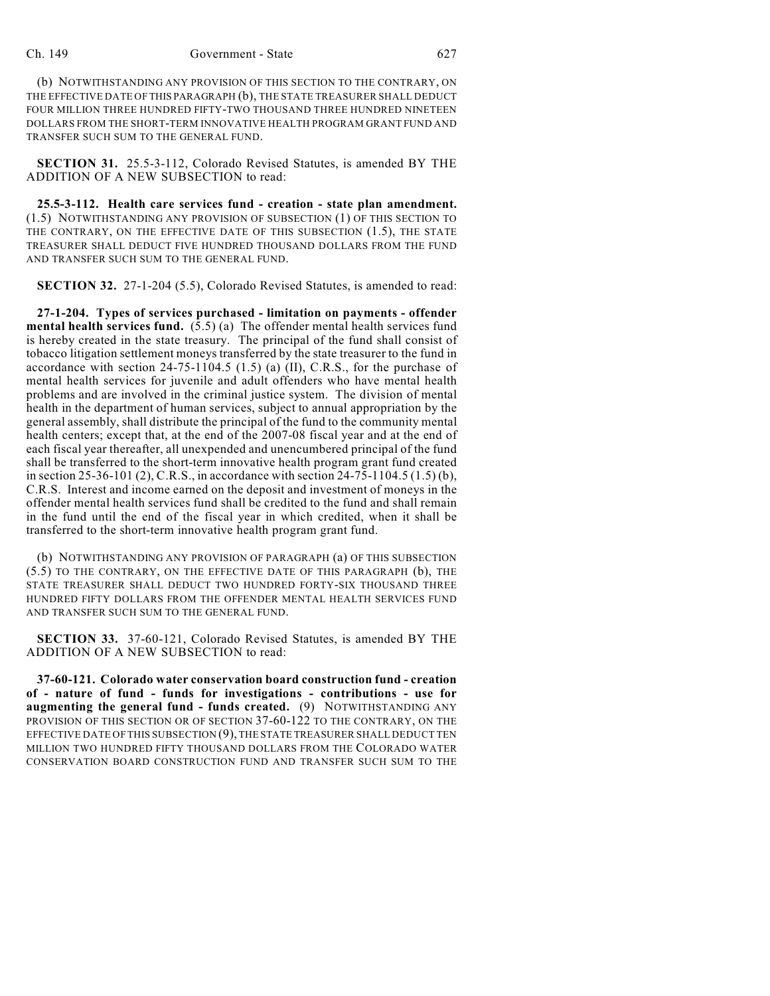## Ch. 149 Government - State 627

(b) NOTWITHSTANDING ANY PROVISION OF THIS SECTION TO THE CONTRARY, ON THE EFFECTIVE DATE OF THIS PARAGRAPH (b), THE STATE TREASURER SHALL DEDUCT FOUR MILLION THREE HUNDRED FIFTY-TWO THOUSAND THREE HUNDRED NINETEEN DOLLARS FROM THE SHORT-TERM INNOVATIVE HEALTH PROGRAM GRANT FUND AND TRANSFER SUCH SUM TO THE GENERAL FUND.

**SECTION 31.** 25.5-3-112, Colorado Revised Statutes, is amended BY THE ADDITION OF A NEW SUBSECTION to read:

**25.5-3-112. Health care services fund - creation - state plan amendment.** (1.5) NOTWITHSTANDING ANY PROVISION OF SUBSECTION (1) OF THIS SECTION TO THE CONTRARY, ON THE EFFECTIVE DATE OF THIS SUBSECTION (1.5), THE STATE TREASURER SHALL DEDUCT FIVE HUNDRED THOUSAND DOLLARS FROM THE FUND AND TRANSFER SUCH SUM TO THE GENERAL FUND.

**SECTION 32.** 27-1-204 (5.5), Colorado Revised Statutes, is amended to read:

**27-1-204. Types of services purchased - limitation on payments - offender mental health services fund.** (5.5) (a) The offender mental health services fund is hereby created in the state treasury. The principal of the fund shall consist of tobacco litigation settlement moneys transferred by the state treasurer to the fund in accordance with section 24-75-1104.5 (1.5) (a) (II), C.R.S., for the purchase of mental health services for juvenile and adult offenders who have mental health problems and are involved in the criminal justice system. The division of mental health in the department of human services, subject to annual appropriation by the general assembly, shall distribute the principal of the fund to the community mental health centers; except that, at the end of the 2007-08 fiscal year and at the end of each fiscal year thereafter, all unexpended and unencumbered principal of the fund shall be transferred to the short-term innovative health program grant fund created in section 25-36-101 (2), C.R.S., in accordance with section 24-75-1104.5 (1.5) (b), C.R.S. Interest and income earned on the deposit and investment of moneys in the offender mental health services fund shall be credited to the fund and shall remain in the fund until the end of the fiscal year in which credited, when it shall be transferred to the short-term innovative health program grant fund.

(b) NOTWITHSTANDING ANY PROVISION OF PARAGRAPH (a) OF THIS SUBSECTION (5.5) TO THE CONTRARY, ON THE EFFECTIVE DATE OF THIS PARAGRAPH (b), THE STATE TREASURER SHALL DEDUCT TWO HUNDRED FORTY-SIX THOUSAND THREE HUNDRED FIFTY DOLLARS FROM THE OFFENDER MENTAL HEALTH SERVICES FUND AND TRANSFER SUCH SUM TO THE GENERAL FUND.

**SECTION 33.** 37-60-121, Colorado Revised Statutes, is amended BY THE ADDITION OF A NEW SUBSECTION to read:

**37-60-121. Colorado water conservation board construction fund - creation of - nature of fund - funds for investigations - contributions - use for augmenting the general fund - funds created.** (9) NOTWITHSTANDING ANY PROVISION OF THIS SECTION OR OF SECTION 37-60-122 TO THE CONTRARY, ON THE EFFECTIVE DATE OF THIS SUBSECTION (9), THE STATE TREASURER SHALL DEDUCT TEN MILLION TWO HUNDRED FIFTY THOUSAND DOLLARS FROM THE COLORADO WATER CONSERVATION BOARD CONSTRUCTION FUND AND TRANSFER SUCH SUM TO THE